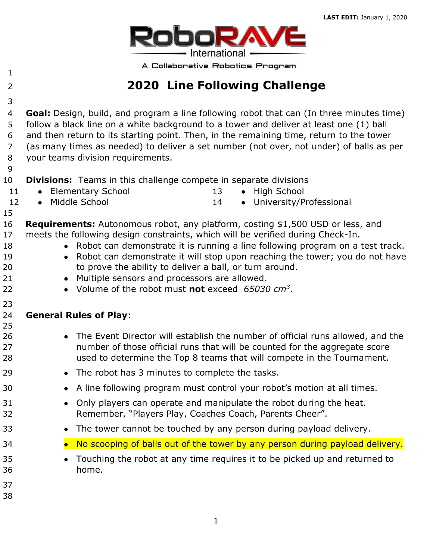

A Collaborative Robotics Program

# **2020 Line Following Challenge**

 **Goal:** Design, build, and program a line following robot that can (In three minutes time) follow a black line on a white background to a tower and deliver at least one (1) ball and then return to its starting point. Then, in the remaining time, return to the tower (as many times as needed) to deliver a set number (not over, not under) of balls as per your teams division requirements.

- **Divisions:** Teams in this challenge compete in separate divisions
	- 11 Elementary School

13 • High School

12 • Middle School

14 • University/Professional

- 
- **Requirements:** Autonomous robot, any platform, costing \$1,500 USD or less, and meets the following design constraints, which will be verified during Check-In.
- 18 Robot can demonstrate it is running a line following program on a test track.
- 19 Robot can demonstrate it will stop upon reaching the tower; you do not have to prove the ability to deliver a ball, or turn around.
- 21 Multiple sensors and processors are allowed.
- 22 Volume of the robot must **not** exceed  $65030 \text{ cm}^3$ .

#### **General Rules of Play**:

- **•** The Event Director will establish the number of official runs allowed, and the number of those official runs that will be counted for the aggregate score used to determine the Top 8 teams that will compete in the Tournament.
- 29 The robot has 3 minutes to complete the tasks.
- **•** A line following program must control your robot's motion at all times.
- 31 Only players can operate and manipulate the robot during the heat. Remember, "Players Play, Coaches Coach, Parents Cheer".
- **•** The tower cannot be touched by any person during payload delivery.
- **No scooping of balls out of the tower by any person during payload delivery.**
- Touching the robot at any time requires it to be picked up and returned to home.
- 
-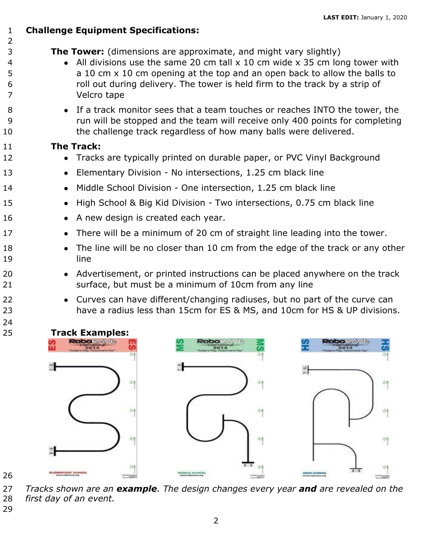### **Challenge Equipment Specifications:**

- **The Tower:** (dimensions are approximate, and might vary slightly)
- All divisions use the same 20 cm tall x 10 cm wide x 35 cm long tower with 5 a 10 cm x 10 cm opening at the top and an open back to allow the balls to roll out during delivery. The tower is held firm to the track by a strip of Velcro tape
- **•** If a track monitor sees that a team touches or reaches INTO the tower, the run will be stopped and the team will receive only 400 points for completing 10 the challenge track regardless of how many balls were delivered.

#### **The Track:**

- 12 Tracks are typically printed on durable paper, or PVC Vinyl Background
- **•** Elementary Division No intersections, 1.25 cm black line
- 14 Middle School Division One intersection, 1.25 cm black line
- 15 High School & Big Kid Division Two intersections, 0.75 cm black line
- 16 A new design is created each year.
- 17 There will be a minimum of 20 cm of straight line leading into the tower.
- 18 The line will be no closer than 10 cm from the edge of the track or any other line
- 20 Advertisement, or printed instructions can be placed anywhere on the track surface, but must be a minimum of 10cm from any line
- Curves can have different/changing radiuses, but no part of the curve can have a radius less than 15cm for ES & MS, and 10cm for HS & UP divisions.



 *Tracks shown are an example. The design changes every year and are revealed on the first day of an event.*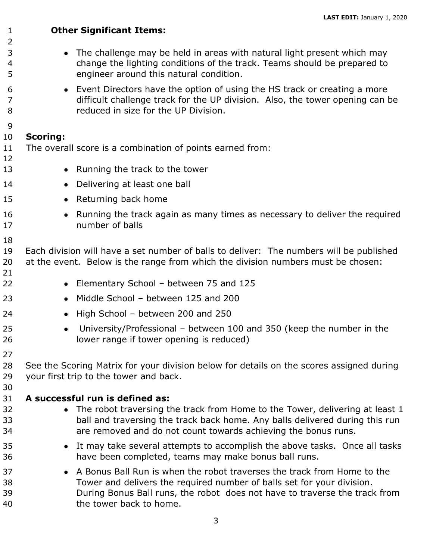**Other Significant Items: •** The challenge may be held in areas with natural light present which may change the lighting conditions of the track. Teams should be prepared to engineer around this natural condition. ● Event Directors have the option of using the HS track or creating a more difficult challenge track for the UP division. Also, the tower opening can be reduced in size for the UP Division. **Scoring:** The overall score is a combination of points earned from: 13 • Running the track to the tower **•** Delivering at least one ball **•** Returning back home 16 • Running the track again as many times as necessary to deliver the required number of balls Each division will have a set number of balls to deliver: The numbers will be published at the event. Below is the range from which the division numbers must be chosen: **•** Elementary School – between 75 and 125 **•** Middle School – between 125 and 200 **•** High School – between 200 and 250 ● University/Professional – between 100 and 350 (keep the number in the lower range if tower opening is reduced) See the Scoring Matrix for your division below for details on the scores assigned during your first trip to the tower and back. **A successful run is defined as:**  32 • The robot traversing the track from Home to the Tower, delivering at least 1 ball and traversing the track back home. Any balls delivered during this run are removed and do not count towards achieving the bonus runs. ● It may take several attempts to accomplish the above tasks. Once all tasks have been completed, teams may make bonus ball runs. **••** A Bonus Ball Run is when the robot traverses the track from Home to the Tower and delivers the required number of balls set for your division. During Bonus Ball runs, the robot does not have to traverse the track from the tower back to home.